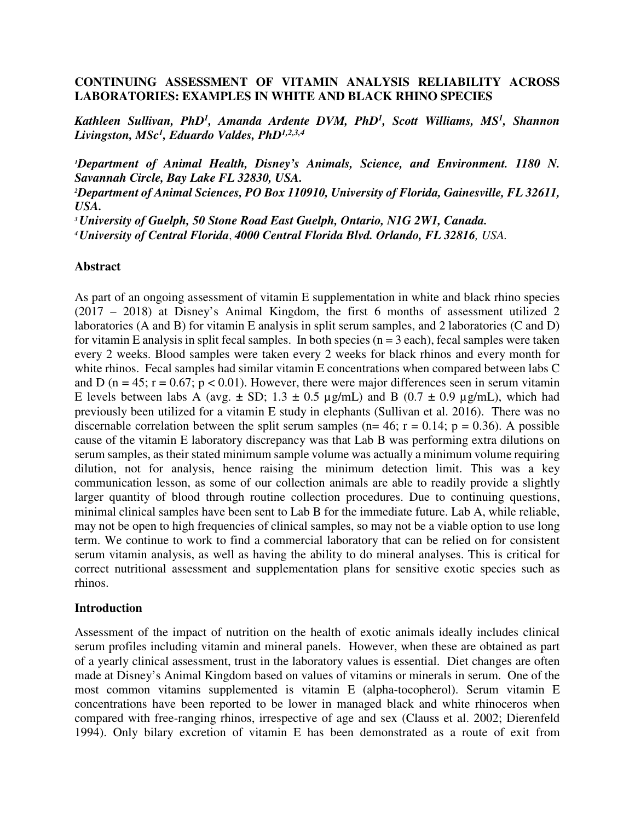### **CONTINUING ASSESSMENT OF VITAMIN ANALYSIS RELIABILITY ACROSS LABORATORIES: EXAMPLES IN WHITE AND BLACK RHINO SPECIES**

*Kathleen Sullivan, PhD<sup>1</sup> , Amanda Ardente DVM, PhD<sup>1</sup> , Scott Williams, MS<sup>1</sup> , Shannon Livingston, MSc<sup>1</sup> , Eduardo Valdes, PhD1,2,3,4*

*<sup>1</sup>Department of Animal Health, Disney's Animals, Science, and Environment. 1180 N. Savannah Circle, Bay Lake FL 32830, USA.*

*<sup>2</sup>Department of Animal Sciences, PO Box 110910, University of Florida, Gainesville, FL 32611, USA.* 

*<sup>3</sup>University of Guelph, 50 Stone Road East Guelph, Ontario, N1G 2W1, Canada.*

*<sup>4</sup>University of Central Florida*, *4000 Central Florida Blvd. Orlando, FL 32816, USA.*

#### **Abstract**

As part of an ongoing assessment of vitamin E supplementation in white and black rhino species (2017 – 2018) at Disney's Animal Kingdom, the first 6 months of assessment utilized 2 laboratories (A and B) for vitamin E analysis in split serum samples, and 2 laboratories (C and D) for vitamin E analysis in split fecal samples. In both species  $(n = 3$  each), fecal samples were taken every 2 weeks. Blood samples were taken every 2 weeks for black rhinos and every month for white rhinos. Fecal samples had similar vitamin E concentrations when compared between labs C and D ( $n = 45$ ;  $r = 0.67$ ;  $p < 0.01$ ). However, there were major differences seen in serum vitamin E levels between labs A (avg.  $\pm$  SD; 1.3  $\pm$  0.5 µg/mL) and B (0.7  $\pm$  0.9 µg/mL), which had previously been utilized for a vitamin E study in elephants (Sullivan et al. 2016). There was no discernable correlation between the split serum samples ( $n= 46$ ;  $r = 0.14$ ;  $p = 0.36$ ). A possible cause of the vitamin E laboratory discrepancy was that Lab B was performing extra dilutions on serum samples, as their stated minimum sample volume was actually a minimum volume requiring dilution, not for analysis, hence raising the minimum detection limit. This was a key communication lesson, as some of our collection animals are able to readily provide a slightly larger quantity of blood through routine collection procedures. Due to continuing questions, minimal clinical samples have been sent to Lab B for the immediate future. Lab A, while reliable, may not be open to high frequencies of clinical samples, so may not be a viable option to use long term. We continue to work to find a commercial laboratory that can be relied on for consistent serum vitamin analysis, as well as having the ability to do mineral analyses. This is critical for correct nutritional assessment and supplementation plans for sensitive exotic species such as rhinos.

#### **Introduction**

Assessment of the impact of nutrition on the health of exotic animals ideally includes clinical serum profiles including vitamin and mineral panels. However, when these are obtained as part of a yearly clinical assessment, trust in the laboratory values is essential. Diet changes are often made at Disney's Animal Kingdom based on values of vitamins or minerals in serum. One of the most common vitamins supplemented is vitamin E (alpha-tocopherol). Serum vitamin E concentrations have been reported to be lower in managed black and white rhinoceros when compared with free-ranging rhinos, irrespective of age and sex (Clauss et al. 2002; Dierenfeld 1994). Only bilary excretion of vitamin E has been demonstrated as a route of exit from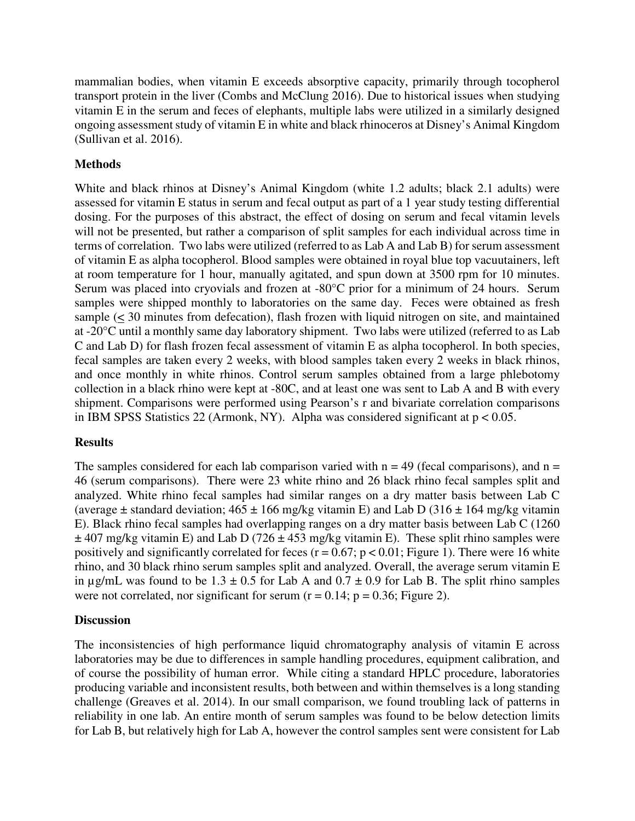mammalian bodies, when vitamin E exceeds absorptive capacity, primarily through tocopherol transport protein in the liver (Combs and McClung 2016). Due to historical issues when studying vitamin E in the serum and feces of elephants, multiple labs were utilized in a similarly designed ongoing assessment study of vitamin E in white and black rhinoceros at Disney's Animal Kingdom (Sullivan et al. 2016).

# **Methods**

White and black rhinos at Disney's Animal Kingdom (white 1.2 adults; black 2.1 adults) were assessed for vitamin E status in serum and fecal output as part of a 1 year study testing differential dosing. For the purposes of this abstract, the effect of dosing on serum and fecal vitamin levels will not be presented, but rather a comparison of split samples for each individual across time in terms of correlation. Two labs were utilized (referred to as Lab A and Lab B) for serum assessment of vitamin E as alpha tocopherol. Blood samples were obtained in royal blue top vacuutainers, left at room temperature for 1 hour, manually agitated, and spun down at 3500 rpm for 10 minutes. Serum was placed into cryovials and frozen at -80°C prior for a minimum of 24 hours. Serum samples were shipped monthly to laboratories on the same day. Feces were obtained as fresh sample (< 30 minutes from defecation), flash frozen with liquid nitrogen on site, and maintained at -20°C until a monthly same day laboratory shipment. Two labs were utilized (referred to as Lab C and Lab D) for flash frozen fecal assessment of vitamin E as alpha tocopherol. In both species, fecal samples are taken every 2 weeks, with blood samples taken every 2 weeks in black rhinos, and once monthly in white rhinos. Control serum samples obtained from a large phlebotomy collection in a black rhino were kept at -80C, and at least one was sent to Lab A and B with every shipment. Comparisons were performed using Pearson's r and bivariate correlation comparisons in IBM SPSS Statistics 22 (Armonk, NY). Alpha was considered significant at  $p < 0.05$ .

# **Results**

The samples considered for each lab comparison varied with  $n = 49$  (fecal comparisons), and  $n =$ 46 (serum comparisons). There were 23 white rhino and 26 black rhino fecal samples split and analyzed. White rhino fecal samples had similar ranges on a dry matter basis between Lab C (average  $\pm$  standard deviation;  $465 \pm 166$  mg/kg vitamin E) and Lab D (316  $\pm$  164 mg/kg vitamin E). Black rhino fecal samples had overlapping ranges on a dry matter basis between Lab C (1260  $\pm$  407 mg/kg vitamin E) and Lab D (726  $\pm$  453 mg/kg vitamin E). These split rhino samples were positively and significantly correlated for feces ( $r = 0.67$ ;  $p < 0.01$ ; Figure 1). There were 16 white rhino, and 30 black rhino serum samples split and analyzed. Overall, the average serum vitamin E in  $\mu$ g/mL was found to be 1.3 ± 0.5 for Lab A and 0.7 ± 0.9 for Lab B. The split rhino samples were not correlated, nor significant for serum  $(r = 0.14; p = 0.36;$  Figure 2).

# **Discussion**

The inconsistencies of high performance liquid chromatography analysis of vitamin E across laboratories may be due to differences in sample handling procedures, equipment calibration, and of course the possibility of human error. While citing a standard HPLC procedure, laboratories producing variable and inconsistent results, both between and within themselves is a long standing challenge (Greaves et al. 2014). In our small comparison, we found troubling lack of patterns in reliability in one lab. An entire month of serum samples was found to be below detection limits for Lab B, but relatively high for Lab A, however the control samples sent were consistent for Lab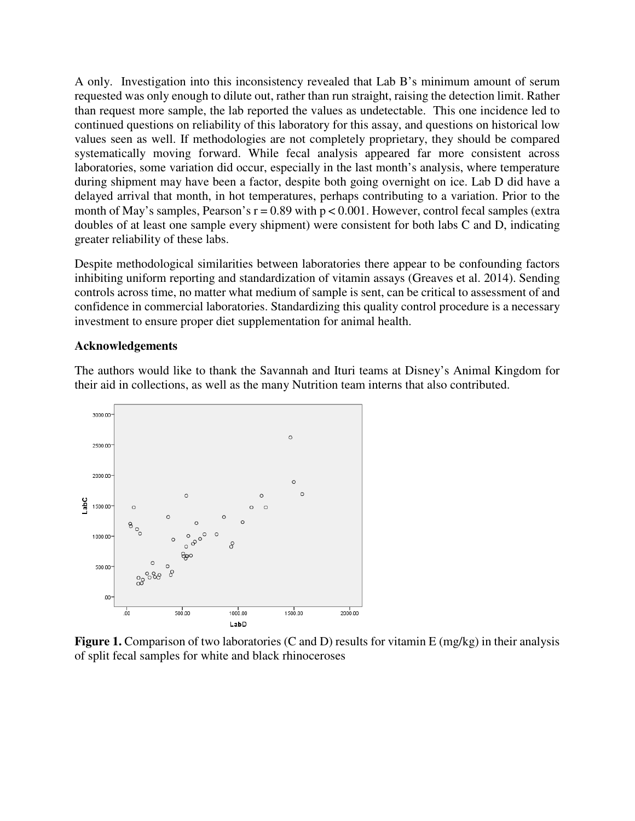A only. Investigation into this inconsistency revealed that Lab B's minimum amount of serum requested was only enough to dilute out, rather than run straight, raising the detection limit. Rather than request more sample, the lab reported the values as undetectable. This one incidence led to continued questions on reliability of this laboratory for this assay, and questions on historical low values seen as well. If methodologies are not completely proprietary, they should be compared systematically moving forward. While fecal analysis appeared far more consistent across laboratories, some variation did occur, especially in the last month's analysis, where temperature during shipment may have been a factor, despite both going overnight on ice. Lab D did have a delayed arrival that month, in hot temperatures, perhaps contributing to a variation. Prior to the month of May's samples, Pearson's  $r = 0.89$  with  $p < 0.001$ . However, control fecal samples (extra doubles of at least one sample every shipment) were consistent for both labs C and D, indicating greater reliability of these labs.

Despite methodological similarities between laboratories there appear to be confounding factors inhibiting uniform reporting and standardization of vitamin assays (Greaves et al. 2014). Sending controls across time, no matter what medium of sample is sent, can be critical to assessment of and confidence in commercial laboratories. Standardizing this quality control procedure is a necessary investment to ensure proper diet supplementation for animal health.

#### **Acknowledgements**

The authors would like to thank the Savannah and Ituri teams at Disney's Animal Kingdom for their aid in collections, as well as the many Nutrition team interns that also contributed.



**Figure 1.** Comparison of two laboratories (C and D) results for vitamin E (mg/kg) in their analysis of split fecal samples for white and black rhinoceroses